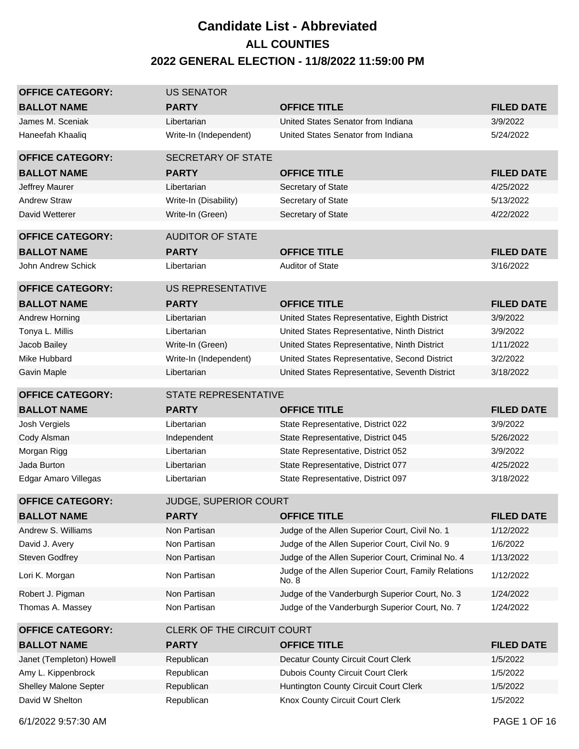## **Candidate List - Abbreviated 2022 GENERAL ELECTION - 11/8/2022 11:59:00 PM ALL COUNTIES**

| <b>OFFICE CATEGORY:</b>                  | <b>US SENATOR</b>            |                                                                          |                      |
|------------------------------------------|------------------------------|--------------------------------------------------------------------------|----------------------|
| <b>BALLOT NAME</b>                       | <b>PARTY</b>                 | <b>OFFICE TITLE</b>                                                      | <b>FILED DATE</b>    |
| James M. Sceniak                         | Libertarian                  | United States Senator from Indiana                                       | 3/9/2022             |
| Haneefah Khaaliq                         | Write-In (Independent)       | United States Senator from Indiana                                       | 5/24/2022            |
| <b>OFFICE CATEGORY:</b>                  | <b>SECRETARY OF STATE</b>    |                                                                          |                      |
| <b>BALLOT NAME</b>                       | <b>PARTY</b>                 | <b>OFFICE TITLE</b>                                                      | <b>FILED DATE</b>    |
| Jeffrey Maurer                           | Libertarian                  | Secretary of State                                                       | 4/25/2022            |
| <b>Andrew Straw</b>                      | Write-In (Disability)        | Secretary of State                                                       | 5/13/2022            |
| David Wetterer                           | Write-In (Green)             | Secretary of State                                                       | 4/22/2022            |
| <b>OFFICE CATEGORY:</b>                  | <b>AUDITOR OF STATE</b>      |                                                                          |                      |
| <b>BALLOT NAME</b>                       | <b>PARTY</b>                 | <b>OFFICE TITLE</b>                                                      | <b>FILED DATE</b>    |
| John Andrew Schick                       | Libertarian                  | <b>Auditor of State</b>                                                  | 3/16/2022            |
| <b>OFFICE CATEGORY:</b>                  | <b>US REPRESENTATIVE</b>     |                                                                          |                      |
| <b>BALLOT NAME</b>                       | <b>PARTY</b>                 | <b>OFFICE TITLE</b>                                                      | <b>FILED DATE</b>    |
| Andrew Horning                           | Libertarian                  | United States Representative, Eighth District                            | 3/9/2022             |
| Tonya L. Millis                          | Libertarian                  | United States Representative, Ninth District                             | 3/9/2022             |
| Jacob Bailey                             | Write-In (Green)             | United States Representative, Ninth District                             | 1/11/2022            |
| Mike Hubbard                             | Write-In (Independent)       | United States Representative, Second District                            | 3/2/2022             |
| <b>Gavin Maple</b>                       | Libertarian                  | United States Representative, Seventh District                           | 3/18/2022            |
| <b>OFFICE CATEGORY:</b>                  | <b>STATE REPRESENTATIVE</b>  |                                                                          |                      |
|                                          |                              |                                                                          |                      |
| <b>BALLOT NAME</b>                       | <b>PARTY</b>                 | <b>OFFICE TITLE</b>                                                      | <b>FILED DATE</b>    |
| Josh Vergiels                            | Libertarian                  | State Representative, District 022                                       | 3/9/2022             |
| Cody Alsman                              | Independent                  | State Representative, District 045                                       | 5/26/2022            |
| Morgan Rigg                              | Libertarian                  | State Representative, District 052                                       | 3/9/2022             |
| Jada Burton                              | Libertarian                  | State Representative, District 077                                       | 4/25/2022            |
| Edgar Amaro Villegas                     | Libertarian                  | State Representative, District 097                                       | 3/18/2022            |
| <b>OFFICE CATEGORY:</b>                  | <b>JUDGE, SUPERIOR COURT</b> |                                                                          |                      |
| <b>BALLOT NAME</b>                       | <b>PARTY</b>                 | <b>OFFICE TITLE</b>                                                      | <b>FILED DATE</b>    |
| Andrew S. Williams                       | Non Partisan                 | Judge of the Allen Superior Court, Civil No. 1                           | 1/12/2022            |
| David J. Avery                           | Non Partisan                 | Judge of the Allen Superior Court, Civil No. 9                           | 1/6/2022             |
| <b>Steven Godfrey</b>                    | Non Partisan                 | Judge of the Allen Superior Court, Criminal No. 4                        | 1/13/2022            |
| Lori K. Morgan                           | Non Partisan                 | Judge of the Allen Superior Court, Family Relations<br>No. 8             | 1/12/2022            |
| Robert J. Pigman                         | Non Partisan                 | Judge of the Vanderburgh Superior Court, No. 3                           | 1/24/2022            |
| Thomas A. Massey                         | Non Partisan                 | Judge of the Vanderburgh Superior Court, No. 7                           | 1/24/2022            |
| <b>OFFICE CATEGORY:</b>                  | CLERK OF THE CIRCUIT COURT   |                                                                          |                      |
| <b>BALLOT NAME</b>                       | <b>PARTY</b>                 | <b>OFFICE TITLE</b>                                                      | <b>FILED DATE</b>    |
| Janet (Templeton) Howell                 | Republican                   | Decatur County Circuit Court Clerk                                       | 1/5/2022             |
| Amy L. Kippenbrock                       | Republican                   | <b>Dubois County Circuit Court Clerk</b>                                 | 1/5/2022             |
| Shelley Malone Septer<br>David W Shelton | Republican                   | Huntington County Circuit Court Clerk<br>Knox County Circuit Court Clerk | 1/5/2022<br>1/5/2022 |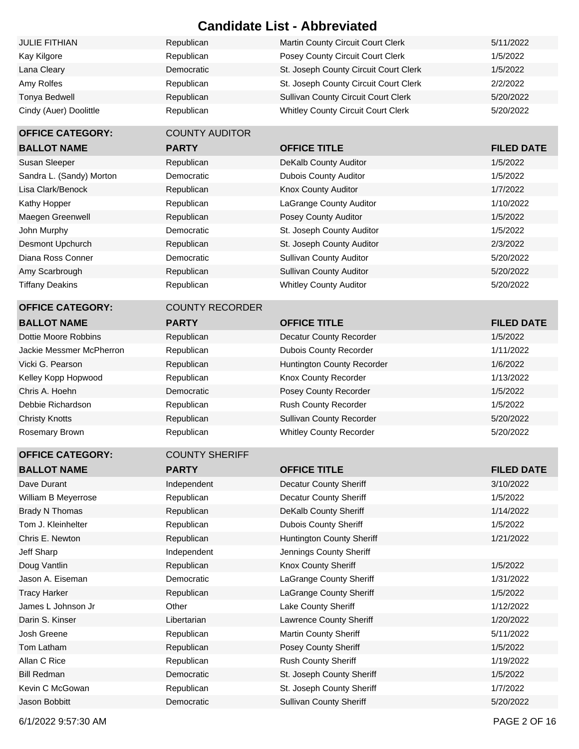| <b>JULIE FITHIAN</b>   | Republican | Martin County Circuit Court Clerk          | 5/11/2022 |
|------------------------|------------|--------------------------------------------|-----------|
| Kay Kilgore            | Republican | Posey County Circuit Court Clerk           | 1/5/2022  |
| Lana Cleary            | Democratic | St. Joseph County Circuit Court Clerk      | 1/5/2022  |
| Amy Rolfes             | Republican | St. Joseph County Circuit Court Clerk      | 2/2/2022  |
| Tonya Bedwell          | Republican | <b>Sullivan County Circuit Court Clerk</b> | 5/20/2022 |
| Cindy (Auer) Doolittle | Republican | <b>Whitley County Circuit Court Clerk</b>  | 5/20/2022 |

#### **OFFICE CATEGORY**

#### **OFFICE CATEGORY BALLOT NAME**

#### **OFFICE CATEGORY BALLOT NAME**

William B Meyerrose Brady N Thomas Tom J. Kleinhelter Chris E. Newton Jeff Sharp Jason A. Eiseman James L Johnson Jr Kevin C McGowan **Republican** Republican St. Joseph County Sheriff **1/7/2022** Jason Bobbitt **Democratic** Democratic Sullivan County Sheriff **1986** Sullivan County Sheriff **5/20/2022** 

| AIIIY RUILES             | Republican             | St. JOSEPH COUNTY CITCUIT COUNT CIETY     | 21212022          |
|--------------------------|------------------------|-------------------------------------------|-------------------|
| Tonya Bedwell            | Republican             | Sullivan County Circuit Court Clerk       | 5/20/2022         |
| Cindy (Auer) Doolittle   | Republican             | <b>Whitley County Circuit Court Clerk</b> | 5/20/2022         |
| <b>OFFICE CATEGORY:</b>  | <b>COUNTY AUDITOR</b>  |                                           |                   |
| <b>BALLOT NAME</b>       | <b>PARTY</b>           | <b>OFFICE TITLE</b>                       | <b>FILED DATE</b> |
| Susan Sleeper            | Republican             | DeKalb County Auditor                     | 1/5/2022          |
| Sandra L. (Sandy) Morton | Democratic             | <b>Dubois County Auditor</b>              | 1/5/2022          |
| Lisa Clark/Benock        | Republican             | Knox County Auditor                       | 1/7/2022          |
| Kathy Hopper             | Republican             | LaGrange County Auditor                   | 1/10/2022         |
| Maegen Greenwell         | Republican             | Posey County Auditor                      | 1/5/2022          |
| John Murphy              | Democratic             | St. Joseph County Auditor                 | 1/5/2022          |
| Desmont Upchurch         | Republican             | St. Joseph County Auditor                 | 2/3/2022          |
| Diana Ross Conner        | Democratic             | <b>Sullivan County Auditor</b>            | 5/20/2022         |
| Amy Scarbrough           | Republican             | <b>Sullivan County Auditor</b>            | 5/20/2022         |
| <b>Tiffany Deakins</b>   | Republican             | <b>Whitley County Auditor</b>             | 5/20/2022         |
| <b>OFFICE CATEGORY:</b>  | <b>COUNTY RECORDER</b> |                                           |                   |
| <b>BALLOT NAME</b>       | <b>PARTY</b>           | <b>OFFICE TITLE</b>                       | <b>FILED DATE</b> |
| Dottie Moore Robbins     | Republican             | Decatur County Recorder                   | 1/5/2022          |
| Jackie Messmer McPherron | Republican             | <b>Dubois County Recorder</b>             | 1/11/2022         |
| Vicki G. Pearson         | Republican             | Huntington County Recorder                | 1/6/2022          |
| Kelley Kopp Hopwood      | Republican             | Knox County Recorder                      | 1/13/2022         |
| Chris A. Hoehn           | Democratic             | Posey County Recorder                     | 1/5/2022          |
| Debbie Richardson        | Republican             | Rush County Recorder                      | 1/5/2022          |
| <b>Christy Knotts</b>    | Republican             | Sullivan County Recorder                  | 5/20/2022         |
| Rosemary Brown           | Republican             | <b>Whitley County Recorder</b>            | 5/20/2022         |
| <b>OFFICE CATEGORY:</b>  | <b>COUNTY SHERIFF</b>  |                                           |                   |
| <b>BALLOT NAME</b>       | <b>PARTY</b>           | <b>OFFICE TITLE</b>                       | <b>FILED DATE</b> |
| Dave Durant              | Independent            | <b>Decatur County Sheriff</b>             | 3/10/2022         |
| William B Meyerrose      | Republican             | <b>Decatur County Sheriff</b>             | 1/5/2022          |
| Brady N Thomas           | Republican             | DeKalb County Sheriff                     | 1/14/2022         |
| Tom J. Kleinhelter       | Republican             | <b>Dubois County Sheriff</b>              | 1/5/2022          |
| Chris E. Newton          | Republican             | Huntington County Sheriff                 | 1/21/2022         |
| Jeff Sharp               | Independent            | Jennings County Sheriff                   |                   |
| Doug Vantlin             | Republican             | Knox County Sheriff                       | 1/5/2022          |
| Jason A. Eiseman         | Democratic             | LaGrange County Sheriff                   | 1/31/2022         |
| <b>Tracy Harker</b>      | Republican             | LaGrange County Sheriff                   | 1/5/2022          |
| James L Johnson Jr       | Other                  | Lake County Sheriff                       | 1/12/2022         |
| Darin S. Kinser          | Libertarian            | <b>Lawrence County Sheriff</b>            | 1/20/2022         |
| Josh Greene              | Republican             | <b>Martin County Sheriff</b>              | 5/11/2022         |
| Tom Latham               | Republican             | Posey County Sheriff                      | 1/5/2022          |
| Allan C Rice             | Republican             | Rush County Sheriff                       | 1/19/2022         |
| <b>Bill Redman</b>       | Democratic             | St. Joseph County Sheriff                 | 1/5/2022          |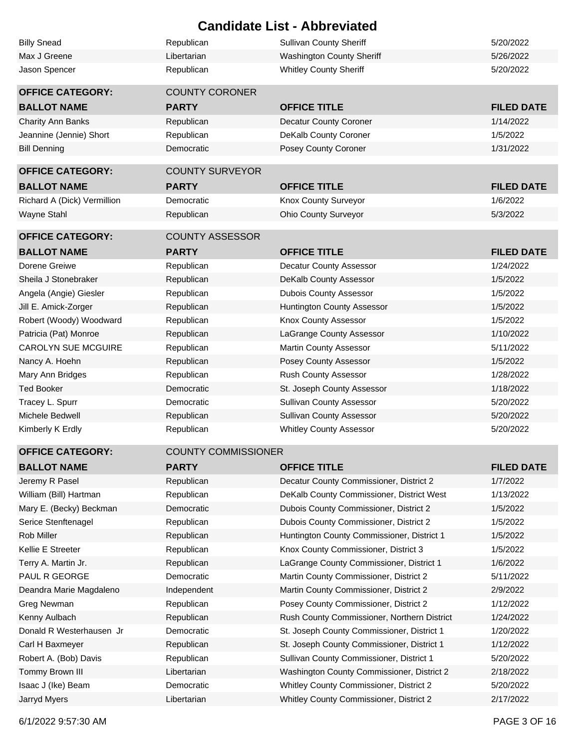|                             |                            | <b>Candidate List - Abbreviated</b>         |                   |
|-----------------------------|----------------------------|---------------------------------------------|-------------------|
| <b>Billy Snead</b>          | Republican                 | <b>Sullivan County Sheriff</b>              | 5/20/2022         |
| Max J Greene                | Libertarian                | <b>Washington County Sheriff</b>            | 5/26/2022         |
| Jason Spencer               | Republican                 | <b>Whitley County Sheriff</b>               | 5/20/2022         |
|                             |                            |                                             |                   |
| <b>OFFICE CATEGORY:</b>     | <b>COUNTY CORONER</b>      |                                             |                   |
| <b>BALLOT NAME</b>          | <b>PARTY</b>               | <b>OFFICE TITLE</b>                         | <b>FILED DATE</b> |
| Charity Ann Banks           | Republican                 | <b>Decatur County Coroner</b>               | 1/14/2022         |
| Jeannine (Jennie) Short     | Republican                 | DeKalb County Coroner                       | 1/5/2022          |
| <b>Bill Denning</b>         | Democratic                 | Posey County Coroner                        | 1/31/2022         |
| <b>OFFICE CATEGORY:</b>     | <b>COUNTY SURVEYOR</b>     |                                             |                   |
|                             |                            |                                             |                   |
| <b>BALLOT NAME</b>          | <b>PARTY</b>               | <b>OFFICE TITLE</b>                         | <b>FILED DATE</b> |
| Richard A (Dick) Vermillion | Democratic                 | Knox County Surveyor                        | 1/6/2022          |
| Wayne Stahl                 | Republican                 | <b>Ohio County Surveyor</b>                 | 5/3/2022          |
| <b>OFFICE CATEGORY:</b>     | <b>COUNTY ASSESSOR</b>     |                                             |                   |
| <b>BALLOT NAME</b>          | <b>PARTY</b>               | <b>OFFICE TITLE</b>                         | <b>FILED DATE</b> |
| Dorene Greiwe               | Republican                 | Decatur County Assessor                     | 1/24/2022         |
| Sheila J Stonebraker        | Republican                 | DeKalb County Assessor                      | 1/5/2022          |
| Angela (Angie) Giesler      | Republican                 | <b>Dubois County Assessor</b>               | 1/5/2022          |
| Jill E. Amick-Zorger        | Republican                 | <b>Huntington County Assessor</b>           | 1/5/2022          |
| Robert (Woody) Woodward     | Republican                 | Knox County Assessor                        | 1/5/2022          |
| Patricia (Pat) Monroe       | Republican                 | LaGrange County Assessor                    | 1/10/2022         |
| <b>CAROLYN SUE MCGUIRE</b>  | Republican                 | Martin County Assessor                      | 5/11/2022         |
| Nancy A. Hoehn              | Republican                 | Posey County Assessor                       | 1/5/2022          |
| Mary Ann Bridges            | Republican                 | Rush County Assessor                        | 1/28/2022         |
| <b>Ted Booker</b>           | Democratic                 | St. Joseph County Assessor                  | 1/18/2022         |
| Tracey L. Spurr             | Democratic                 | <b>Sullivan County Assessor</b>             | 5/20/2022         |
| Michele Bedwell             | Republican                 | <b>Sullivan County Assessor</b>             | 5/20/2022         |
| Kimberly K Erdly            | Republican                 | <b>Whitley County Assessor</b>              | 5/20/2022         |
|                             |                            |                                             |                   |
| <b>OFFICE CATEGORY:</b>     | <b>COUNTY COMMISSIONER</b> |                                             |                   |
| <b>BALLOT NAME</b>          | <b>PARTY</b>               | <b>OFFICE TITLE</b>                         | <b>FILED DATE</b> |
| Jeremy R Pasel              | Republican                 | Decatur County Commissioner, District 2     | 1/7/2022          |
| William (Bill) Hartman      | Republican                 | DeKalb County Commissioner, District West   | 1/13/2022         |
| Mary E. (Becky) Beckman     | Democratic                 | Dubois County Commissioner, District 2      | 1/5/2022          |
| Serice Stenftenagel         | Republican                 | Dubois County Commissioner, District 2      | 1/5/2022          |
| Rob Miller                  | Republican                 | Huntington County Commissioner, District 1  | 1/5/2022          |
| Kellie E Streeter           | Republican                 | Knox County Commissioner, District 3        | 1/5/2022          |
| Terry A. Martin Jr.         | Republican                 | LaGrange County Commissioner, District 1    | 1/6/2022          |
| PAUL R GEORGE               | Democratic                 | Martin County Commissioner, District 2      | 5/11/2022         |
| Deandra Marie Magdaleno     | Independent                | Martin County Commissioner, District 2      | 2/9/2022          |
| Greg Newman                 | Republican                 | Posey County Commissioner, District 2       | 1/12/2022         |
| Kenny Aulbach               | Republican                 | Rush County Commissioner, Northern District | 1/24/2022         |
| Donald R Westerhausen Jr    | Democratic                 | St. Joseph County Commissioner, District 1  | 1/20/2022         |
| Carl H Baxmeyer             | Republican                 | St. Joseph County Commissioner, District 1  | 1/12/2022         |
| Robert A. (Bob) Davis       | Republican                 | Sullivan County Commissioner, District 1    | 5/20/2022         |
| Tommy Brown III             | Libertarian                | Washington County Commissioner, District 2  | 2/18/2022         |
| Isaac J (Ike) Beam          | Democratic                 | Whitley County Commissioner, District 2     | 5/20/2022         |
| Jarryd Myers                | Libertarian                | Whitley County Commissioner, District 2     | 2/17/2022         |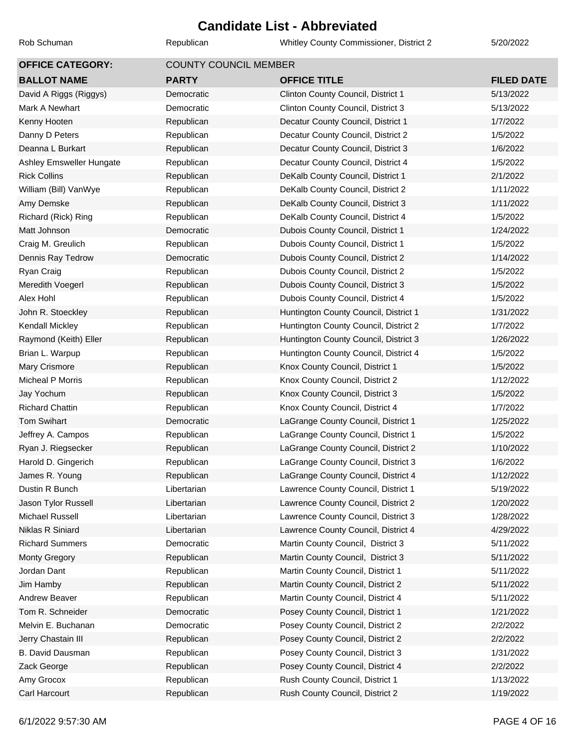Rob Schuman **Republican** Republican Whitley County Commissioner, District 2 5/20/2022

| <b>OFFICE CATEGORY:</b>  | <b>COUNTY COUNCIL MEMBER</b> |                                       |                   |  |
|--------------------------|------------------------------|---------------------------------------|-------------------|--|
| <b>BALLOT NAME</b>       | <b>PARTY</b>                 | <b>OFFICE TITLE</b>                   | <b>FILED DATE</b> |  |
| David A Riggs (Riggys)   | Democratic                   | Clinton County Council, District 1    | 5/13/2022         |  |
| Mark A Newhart           | Democratic                   | Clinton County Council, District 3    | 5/13/2022         |  |
| Kenny Hooten             | Republican                   | Decatur County Council, District 1    | 1/7/2022          |  |
| Danny D Peters           | Republican                   | Decatur County Council, District 2    | 1/5/2022          |  |
| Deanna L Burkart         | Republican                   | Decatur County Council, District 3    | 1/6/2022          |  |
| Ashley Emsweller Hungate | Republican                   | Decatur County Council, District 4    | 1/5/2022          |  |
| <b>Rick Collins</b>      | Republican                   | DeKalb County Council, District 1     | 2/1/2022          |  |
| William (Bill) VanWye    | Republican                   | DeKalb County Council, District 2     | 1/11/2022         |  |
| Amy Demske               | Republican                   | DeKalb County Council, District 3     | 1/11/2022         |  |
| Richard (Rick) Ring      | Republican                   | DeKalb County Council, District 4     | 1/5/2022          |  |
| Matt Johnson             | Democratic                   | Dubois County Council, District 1     | 1/24/2022         |  |
| Craig M. Greulich        | Republican                   | Dubois County Council, District 1     | 1/5/2022          |  |
| Dennis Ray Tedrow        | Democratic                   | Dubois County Council, District 2     | 1/14/2022         |  |
| Ryan Craig               | Republican                   | Dubois County Council, District 2     | 1/5/2022          |  |
| Meredith Voegerl         | Republican                   | Dubois County Council, District 3     | 1/5/2022          |  |
| Alex Hohl                | Republican                   | Dubois County Council, District 4     | 1/5/2022          |  |
| John R. Stoeckley        | Republican                   | Huntington County Council, District 1 | 1/31/2022         |  |
| Kendall Mickley          | Republican                   | Huntington County Council, District 2 | 1/7/2022          |  |
| Raymond (Keith) Eller    | Republican                   | Huntington County Council, District 3 | 1/26/2022         |  |
| Brian L. Warpup          | Republican                   | Huntington County Council, District 4 | 1/5/2022          |  |
| Mary Crismore            | Republican                   | Knox County Council, District 1       | 1/5/2022          |  |
| <b>Micheal P Morris</b>  | Republican                   | Knox County Council, District 2       | 1/12/2022         |  |
| Jay Yochum               | Republican                   | Knox County Council, District 3       | 1/5/2022          |  |
| <b>Richard Chattin</b>   | Republican                   | Knox County Council, District 4       | 1/7/2022          |  |
| <b>Tom Swihart</b>       | Democratic                   | LaGrange County Council, District 1   | 1/25/2022         |  |
| Jeffrey A. Campos        | Republican                   | LaGrange County Council, District 1   | 1/5/2022          |  |
| Ryan J. Riegsecker       | Republican                   | LaGrange County Council, District 2   | 1/10/2022         |  |
| Harold D. Gingerich      | Republican                   | LaGrange County Council, District 3   | 1/6/2022          |  |
| James R. Young           | Republican                   | LaGrange County Council, District 4   | 1/12/2022         |  |
| Dustin R Bunch           | Libertarian                  | Lawrence County Council, District 1   | 5/19/2022         |  |
| Jason Tylor Russell      | Libertarian                  | Lawrence County Council, District 2   | 1/20/2022         |  |
| Michael Russell          | Libertarian                  | Lawrence County Council, District 3   | 1/28/2022         |  |
| Niklas R Siniard         | Libertarian                  | Lawrence County Council, District 4   | 4/29/2022         |  |
| <b>Richard Summers</b>   | Democratic                   | Martin County Council, District 3     | 5/11/2022         |  |
| <b>Monty Gregory</b>     | Republican                   | Martin County Council, District 3     | 5/11/2022         |  |
| Jordan Dant              | Republican                   | Martin County Council, District 1     | 5/11/2022         |  |
| Jim Hamby                | Republican                   | Martin County Council, District 2     | 5/11/2022         |  |
| Andrew Beaver            | Republican                   | Martin County Council, District 4     | 5/11/2022         |  |
| Tom R. Schneider         | Democratic                   | Posey County Council, District 1      | 1/21/2022         |  |
| Melvin E. Buchanan       | Democratic                   | Posey County Council, District 2      | 2/2/2022          |  |
| Jerry Chastain III       | Republican                   | Posey County Council, District 2      | 2/2/2022          |  |
| B. David Dausman         | Republican                   | Posey County Council, District 3      | 1/31/2022         |  |
| Zack George              | Republican                   | Posey County Council, District 4      | 2/2/2022          |  |
| Amy Grocox               | Republican                   | Rush County Council, District 1       | 1/13/2022         |  |
| Carl Harcourt            | Republican                   | Rush County Council, District 2       | 1/19/2022         |  |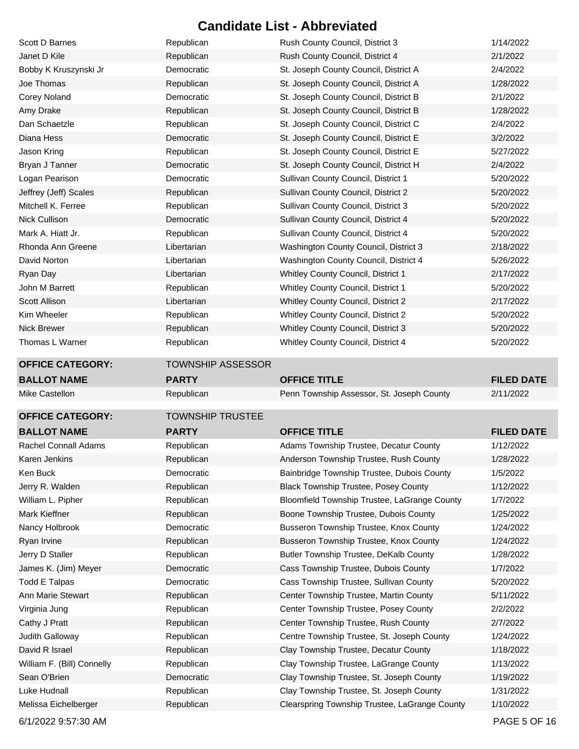| Scott D Barnes             | Republican               | Rush County Council, District 3                                                | 1/14/2022         |
|----------------------------|--------------------------|--------------------------------------------------------------------------------|-------------------|
| Janet D Kile               | Republican               | Rush County Council, District 4                                                | 2/1/2022          |
| Bobby K Kruszynski Jr      | Democratic               | St. Joseph County Council, District A                                          | 2/4/2022          |
| Joe Thomas                 | Republican               | St. Joseph County Council, District A                                          | 1/28/2022         |
| <b>Corey Noland</b>        | Democratic               | St. Joseph County Council, District B                                          | 2/1/2022          |
| Amy Drake                  | Republican               | St. Joseph County Council, District B                                          | 1/28/2022         |
| Dan Schaetzle              | Republican               | St. Joseph County Council, District C                                          | 2/4/2022          |
| Diana Hess                 | Democratic               | St. Joseph County Council, District E                                          | 3/2/2022          |
| Jason Kring                | Republican               | St. Joseph County Council, District E                                          | 5/27/2022         |
| Bryan J Tanner             | Democratic               | St. Joseph County Council, District H                                          | 2/4/2022          |
| Logan Pearison             | Democratic               | Sullivan County Council, District 1                                            | 5/20/2022         |
| Jeffrey (Jeff) Scales      | Republican               | Sullivan County Council, District 2                                            | 5/20/2022         |
| Mitchell K. Ferree         | Republican               | Sullivan County Council, District 3                                            | 5/20/2022         |
| <b>Nick Cullison</b>       | Democratic               | Sullivan County Council, District 4                                            | 5/20/2022         |
| Mark A. Hiatt Jr.          | Republican               | Sullivan County Council, District 4                                            | 5/20/2022         |
| Rhonda Ann Greene          | Libertarian              | Washington County Council, District 3                                          | 2/18/2022         |
| David Norton               | Libertarian              | Washington County Council, District 4                                          | 5/26/2022         |
| Ryan Day                   | Libertarian              | Whitley County Council, District 1                                             | 2/17/2022         |
| John M Barrett             | Republican               | Whitley County Council, District 1                                             | 5/20/2022         |
| <b>Scott Allison</b>       | Libertarian              | Whitley County Council, District 2                                             | 2/17/2022         |
| Kim Wheeler                | Republican               | Whitley County Council, District 2                                             | 5/20/2022         |
| <b>Nick Brewer</b>         | Republican               | Whitley County Council, District 3                                             | 5/20/2022         |
| Thomas L Warner            | Republican               | Whitley County Council, District 4                                             | 5/20/2022         |
| <b>OFFICE CATEGORY:</b>    | <b>TOWNSHIP ASSESSOR</b> |                                                                                |                   |
|                            |                          |                                                                                |                   |
| <b>BALLOT NAME</b>         | <b>PARTY</b>             | <b>OFFICE TITLE</b>                                                            | <b>FILED DATE</b> |
| Mike Castellon             | Republican               | Penn Township Assessor, St. Joseph County                                      | 2/11/2022         |
| <b>OFFICE CATEGORY:</b>    | <b>TOWNSHIP TRUSTEE</b>  |                                                                                |                   |
| <b>BALLOT NAME</b>         | <b>PARTY</b>             | <b>OFFICE TITLE</b>                                                            | <b>FILED DATE</b> |
| Rachel Connall Adams       | Republican               | Adams Township Trustee, Decatur County                                         | 1/12/2022         |
| Karen Jenkins              | Republican               | Anderson Township Trustee, Rush County                                         | 1/28/2022         |
| Ken Buck                   | Democratic               | Bainbridge Township Trustee, Dubois County                                     | 1/5/2022          |
| Jerry R. Walden            | Republican               | Black Township Trustee, Posey County                                           | 1/12/2022         |
| William L. Pipher          | Republican               | Bloomfield Township Trustee, LaGrange County                                   | 1/7/2022          |
| Mark Kieffner              | Republican               | Boone Township Trustee, Dubois County                                          | 1/25/2022         |
| Nancy Holbrook             | Democratic               | Busseron Township Trustee, Knox County                                         | 1/24/2022         |
| Ryan Irvine                | Republican               | Busseron Township Trustee, Knox County                                         | 1/24/2022         |
| Jerry D Staller            | Republican               |                                                                                | 1/28/2022         |
| James K. (Jim) Meyer       | Democratic               | Butler Township Trustee, DeKalb County<br>Cass Township Trustee, Dubois County | 1/7/2022          |
| <b>Todd E Talpas</b>       | Democratic               | Cass Township Trustee, Sullivan County                                         | 5/20/2022         |
| Ann Marie Stewart          | Republican               | Center Township Trustee, Martin County                                         | 5/11/2022         |
| Virginia Jung              | Republican               | Center Township Trustee, Posey County                                          | 2/2/2022          |
| Cathy J Pratt              | Republican               | Center Township Trustee, Rush County                                           | 2/7/2022          |
| Judith Galloway            | Republican               | Centre Township Trustee, St. Joseph County                                     | 1/24/2022         |
| David R Israel             | Republican               | Clay Township Trustee, Decatur County                                          | 1/18/2022         |
| William F. (Bill) Connelly | Republican               | Clay Township Trustee, LaGrange County                                         | 1/13/2022         |
| Sean O'Brien               | Democratic               | Clay Township Trustee, St. Joseph County                                       | 1/19/2022         |
| Luke Hudnall               | Republican               | Clay Township Trustee, St. Joseph County                                       | 1/31/2022         |

6/1/2022 9:57:30 AM PAGE 5 OF 16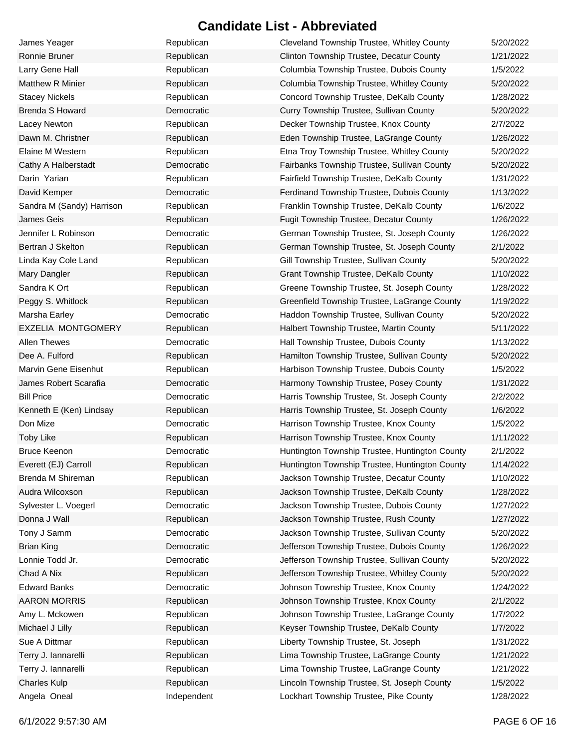| James Yeager              | Republican  | Cleveland Township Trustee, Whitley County     | 5/20/2022 |
|---------------------------|-------------|------------------------------------------------|-----------|
| Ronnie Bruner             | Republican  | Clinton Township Trustee, Decatur County       | 1/21/2022 |
| Larry Gene Hall           | Republican  | Columbia Township Trustee, Dubois County       | 1/5/2022  |
| <b>Matthew R Minier</b>   | Republican  | Columbia Township Trustee, Whitley County      | 5/20/2022 |
| <b>Stacey Nickels</b>     | Republican  | Concord Township Trustee, DeKalb County        | 1/28/2022 |
| Brenda S Howard           | Democratic  | Curry Township Trustee, Sullivan County        | 5/20/2022 |
| Lacey Newton              | Republican  | Decker Township Trustee, Knox County           | 2/7/2022  |
| Dawn M. Christner         | Republican  | Eden Township Trustee, LaGrange County         | 1/26/2022 |
| Elaine M Western          | Republican  | Etna Troy Township Trustee, Whitley County     | 5/20/2022 |
| Cathy A Halberstadt       | Democratic  | Fairbanks Township Trustee, Sullivan County    | 5/20/2022 |
| Darin Yarian              | Republican  | Fairfield Township Trustee, DeKalb County      | 1/31/2022 |
| David Kemper              | Democratic  | Ferdinand Township Trustee, Dubois County      | 1/13/2022 |
| Sandra M (Sandy) Harrison | Republican  | Franklin Township Trustee, DeKalb County       | 1/6/2022  |
| <b>James Geis</b>         | Republican  | Fugit Township Trustee, Decatur County         | 1/26/2022 |
| Jennifer L Robinson       | Democratic  | German Township Trustee, St. Joseph County     | 1/26/2022 |
| Bertran J Skelton         | Republican  | German Township Trustee, St. Joseph County     | 2/1/2022  |
| Linda Kay Cole Land       | Republican  | Gill Township Trustee, Sullivan County         | 5/20/2022 |
| Mary Dangler              | Republican  | Grant Township Trustee, DeKalb County          | 1/10/2022 |
| Sandra K Ort              | Republican  | Greene Township Trustee, St. Joseph County     | 1/28/2022 |
| Peggy S. Whitlock         | Republican  | Greenfield Township Trustee, LaGrange County   | 1/19/2022 |
| Marsha Earley             | Democratic  | Haddon Township Trustee, Sullivan County       | 5/20/2022 |
| EXZELIA MONTGOMERY        | Republican  | Halbert Township Trustee, Martin County        | 5/11/2022 |
| <b>Allen Thewes</b>       | Democratic  | Hall Township Trustee, Dubois County           | 1/13/2022 |
| Dee A. Fulford            | Republican  | Hamilton Township Trustee, Sullivan County     | 5/20/2022 |
| Marvin Gene Eisenhut      | Republican  | Harbison Township Trustee, Dubois County       | 1/5/2022  |
| James Robert Scarafia     | Democratic  | Harmony Township Trustee, Posey County         | 1/31/2022 |
| <b>Bill Price</b>         | Democratic  | Harris Township Trustee, St. Joseph County     | 2/2/2022  |
| Kenneth E (Ken) Lindsay   | Republican  | Harris Township Trustee, St. Joseph County     | 1/6/2022  |
| Don Mize                  | Democratic  | Harrison Township Trustee, Knox County         | 1/5/2022  |
| <b>Toby Like</b>          | Republican  | Harrison Township Trustee, Knox County         | 1/11/2022 |
| <b>Bruce Keenon</b>       | Democratic  | Huntington Township Trustee, Huntington County | 2/1/2022  |
| Everett (EJ) Carroll      | Republican  | Huntington Township Trustee, Huntington County | 1/14/2022 |
| Brenda M Shireman         | Republican  | Jackson Township Trustee, Decatur County       | 1/10/2022 |
| Audra Wilcoxson           | Republican  | Jackson Township Trustee, DeKalb County        | 1/28/2022 |
| Sylvester L. Voegerl      | Democratic  | Jackson Township Trustee, Dubois County        | 1/27/2022 |
| Donna J Wall              | Republican  | Jackson Township Trustee, Rush County          | 1/27/2022 |
| Tony J Samm               | Democratic  | Jackson Township Trustee, Sullivan County      | 5/20/2022 |
| <b>Brian King</b>         | Democratic  | Jefferson Township Trustee, Dubois County      | 1/26/2022 |
| Lonnie Todd Jr.           | Democratic  | Jefferson Township Trustee, Sullivan County    | 5/20/2022 |
| Chad A Nix                | Republican  | Jefferson Township Trustee, Whitley County     | 5/20/2022 |
| <b>Edward Banks</b>       | Democratic  | Johnson Township Trustee, Knox County          | 1/24/2022 |
| <b>AARON MORRIS</b>       | Republican  | Johnson Township Trustee, Knox County          | 2/1/2022  |
| Amy L. Mckowen            | Republican  | Johnson Township Trustee, LaGrange County      | 1/7/2022  |
| Michael J Lilly           | Republican  | Keyser Township Trustee, DeKalb County         | 1/7/2022  |
| Sue A Dittmar             | Republican  | Liberty Township Trustee, St. Joseph           | 1/31/2022 |
| Terry J. lannarelli       | Republican  | Lima Township Trustee, LaGrange County         | 1/21/2022 |
| Terry J. lannarelli       | Republican  | Lima Township Trustee, LaGrange County         | 1/21/2022 |
| <b>Charles Kulp</b>       | Republican  | Lincoln Township Trustee, St. Joseph County    | 1/5/2022  |
| Angela Oneal              | Independent | Lockhart Township Trustee, Pike County         | 1/28/2022 |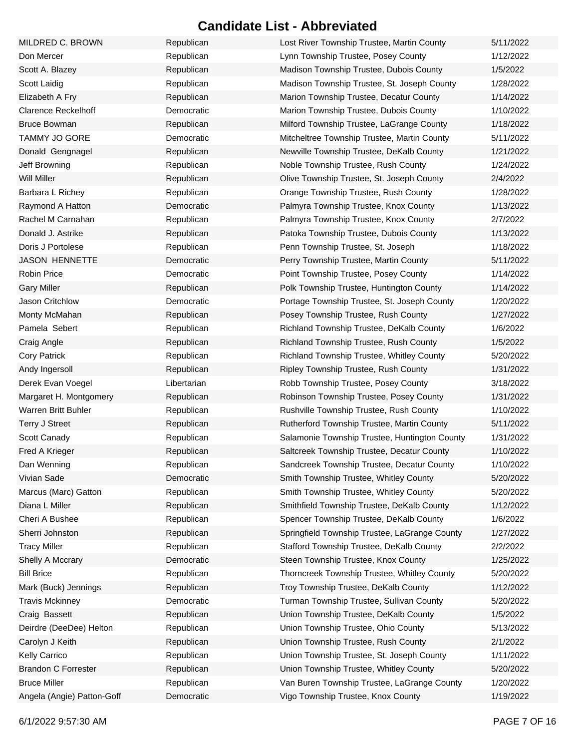| MILDRED C. BROWN           | Republican  | Lost River Township Trustee, Martin County    | 5/11/2022 |
|----------------------------|-------------|-----------------------------------------------|-----------|
| Don Mercer                 | Republican  | Lynn Township Trustee, Posey County           | 1/12/2022 |
| Scott A. Blazey            | Republican  | Madison Township Trustee, Dubois County       | 1/5/2022  |
| Scott Laidig               | Republican  | Madison Township Trustee, St. Joseph County   | 1/28/2022 |
| Elizabeth A Fry            | Republican  | Marion Township Trustee, Decatur County       | 1/14/2022 |
| <b>Clarence Reckelhoff</b> | Democratic  | Marion Township Trustee, Dubois County        | 1/10/2022 |
| <b>Bruce Bowman</b>        | Republican  | Milford Township Trustee, LaGrange County     | 1/18/2022 |
| <b>TAMMY JO GORE</b>       | Democratic  | Mitcheltree Township Trustee, Martin County   | 5/11/2022 |
| Donald Gengnagel           | Republican  | Newville Township Trustee, DeKalb County      | 1/21/2022 |
| Jeff Browning              | Republican  | Noble Township Trustee, Rush County           | 1/24/2022 |
| <b>Will Miller</b>         | Republican  | Olive Township Trustee, St. Joseph County     | 2/4/2022  |
| Barbara L Richey           | Republican  | Orange Township Trustee, Rush County          | 1/28/2022 |
| Raymond A Hatton           | Democratic  | Palmyra Township Trustee, Knox County         | 1/13/2022 |
| Rachel M Carnahan          | Republican  | Palmyra Township Trustee, Knox County         | 2/7/2022  |
| Donald J. Astrike          | Republican  | Patoka Township Trustee, Dubois County        | 1/13/2022 |
| Doris J Portolese          | Republican  | Penn Township Trustee, St. Joseph             | 1/18/2022 |
| <b>JASON HENNETTE</b>      | Democratic  | Perry Township Trustee, Martin County         | 5/11/2022 |
| <b>Robin Price</b>         | Democratic  | Point Township Trustee, Posey County          | 1/14/2022 |
| <b>Gary Miller</b>         | Republican  | Polk Township Trustee, Huntington County      | 1/14/2022 |
| Jason Critchlow            | Democratic  | Portage Township Trustee, St. Joseph County   | 1/20/2022 |
| Monty McMahan              | Republican  | Posey Township Trustee, Rush County           | 1/27/2022 |
| Pamela Sebert              | Republican  | Richland Township Trustee, DeKalb County      | 1/6/2022  |
| Craig Angle                | Republican  | Richland Township Trustee, Rush County        | 1/5/2022  |
| <b>Cory Patrick</b>        | Republican  | Richland Township Trustee, Whitley County     | 5/20/2022 |
| Andy Ingersoll             | Republican  | Ripley Township Trustee, Rush County          | 1/31/2022 |
| Derek Evan Voegel          | Libertarian | Robb Township Trustee, Posey County           | 3/18/2022 |
| Margaret H. Montgomery     | Republican  | Robinson Township Trustee, Posey County       | 1/31/2022 |
| Warren Britt Buhler        | Republican  | Rushville Township Trustee, Rush County       | 1/10/2022 |
| <b>Terry J Street</b>      | Republican  | Rutherford Township Trustee, Martin County    | 5/11/2022 |
| Scott Canady               | Republican  | Salamonie Township Trustee, Huntington County | 1/31/2022 |
| Fred A Krieger             | Republican  | Saltcreek Township Trustee, Decatur County    | 1/10/2022 |
| Dan Wenning                | Republican  | Sandcreek Township Trustee, Decatur County    | 1/10/2022 |
| Vivian Sade                | Democratic  | Smith Township Trustee, Whitley County        | 5/20/2022 |
| Marcus (Marc) Gatton       | Republican  | Smith Township Trustee, Whitley County        | 5/20/2022 |
| Diana L Miller             | Republican  | Smithfield Township Trustee, DeKalb County    | 1/12/2022 |
| Cheri A Bushee             | Republican  | Spencer Township Trustee, DeKalb County       | 1/6/2022  |
| Sherri Johnston            | Republican  | Springfield Township Trustee, LaGrange County | 1/27/2022 |
| <b>Tracy Miller</b>        | Republican  | Stafford Township Trustee, DeKalb County      | 2/2/2022  |
| Shelly A Mccrary           | Democratic  | Steen Township Trustee, Knox County           | 1/25/2022 |
| <b>Bill Brice</b>          | Republican  | Thorncreek Township Trustee, Whitley County   | 5/20/2022 |
| Mark (Buck) Jennings       | Republican  | Troy Township Trustee, DeKalb County          | 1/12/2022 |
| <b>Travis Mckinney</b>     | Democratic  | Turman Township Trustee, Sullivan County      | 5/20/2022 |
| Craig Bassett              | Republican  | Union Township Trustee, DeKalb County         | 1/5/2022  |
| Deirdre (DeeDee) Helton    | Republican  | Union Township Trustee, Ohio County           | 5/13/2022 |
| Carolyn J Keith            | Republican  | Union Township Trustee, Rush County           | 2/1/2022  |
| Kelly Carrico              | Republican  | Union Township Trustee, St. Joseph County     | 1/11/2022 |
| <b>Brandon C Forrester</b> | Republican  | Union Township Trustee, Whitley County        | 5/20/2022 |
| <b>Bruce Miller</b>        | Republican  | Van Buren Township Trustee, LaGrange County   | 1/20/2022 |
| Angela (Angie) Patton-Goff | Democratic  | Vigo Township Trustee, Knox County            | 1/19/2022 |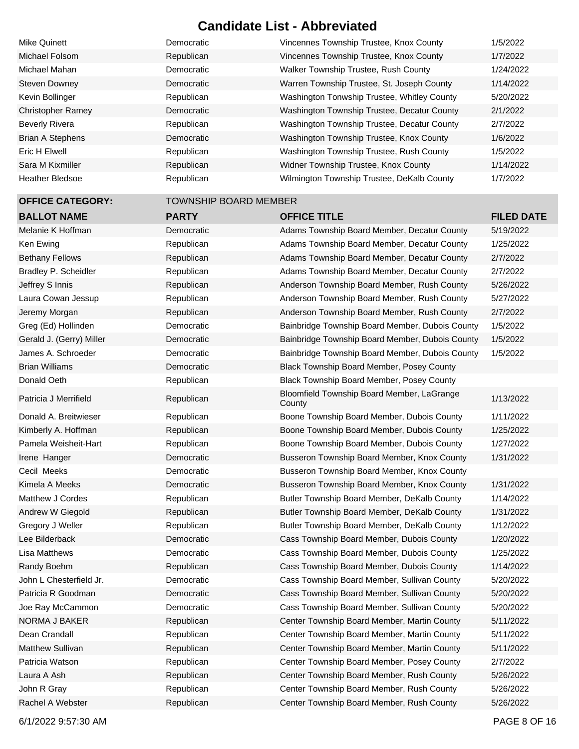| Mike Quinett             | Democratic                   | Vincennes Township Trustee, Knox County              | 1/5/2022          |
|--------------------------|------------------------------|------------------------------------------------------|-------------------|
| Michael Folsom           | Republican                   | Vincennes Township Trustee, Knox County              | 1/7/2022          |
| Michael Mahan            | Democratic                   | Walker Township Trustee, Rush County                 | 1/24/2022         |
| <b>Steven Downey</b>     | Democratic                   | Warren Township Trustee, St. Joseph County           | 1/14/2022         |
| Kevin Bollinger          | Republican                   | Washington Tonwship Trustee, Whitley County          | 5/20/2022         |
| <b>Christopher Ramey</b> | Democratic                   | Washington Township Trustee, Decatur County          | 2/1/2022          |
| <b>Beverly Rivera</b>    | Republican                   | Washington Township Trustee, Decatur County          | 2/7/2022          |
| <b>Brian A Stephens</b>  | Democratic                   | Washington Township Trustee, Knox County             | 1/6/2022          |
| <b>Eric H Elwell</b>     | Republican                   | Washington Township Trustee, Rush County             | 1/5/2022          |
| Sara M Kixmiller         | Republican                   | Widner Township Trustee, Knox County                 | 1/14/2022         |
| <b>Heather Bledsoe</b>   | Republican                   | Wilmington Township Trustee, DeKalb County           | 1/7/2022          |
| <b>OFFICE CATEGORY:</b>  | <b>TOWNSHIP BOARD MEMBER</b> |                                                      |                   |
| <b>BALLOT NAME</b>       | <b>PARTY</b>                 | <b>OFFICE TITLE</b>                                  | <b>FILED DATE</b> |
| Melanie K Hoffman        | Democratic                   | Adams Township Board Member, Decatur County          | 5/19/2022         |
| Ken Ewing                | Republican                   | Adams Township Board Member, Decatur County          | 1/25/2022         |
| <b>Bethany Fellows</b>   | Republican                   | Adams Township Board Member, Decatur County          | 2/7/2022          |
| Bradley P. Scheidler     | Republican                   | Adams Township Board Member, Decatur County          | 2/7/2022          |
| Jeffrey S Innis          | Republican                   | Anderson Township Board Member, Rush County          | 5/26/2022         |
| Laura Cowan Jessup       | Republican                   | Anderson Township Board Member, Rush County          | 5/27/2022         |
| Jeremy Morgan            | Republican                   | Anderson Township Board Member, Rush County          | 2/7/2022          |
| Greg (Ed) Hollinden      | Democratic                   | Bainbridge Township Board Member, Dubois County      | 1/5/2022          |
| Gerald J. (Gerry) Miller | Democratic                   | Bainbridge Township Board Member, Dubois County      | 1/5/2022          |
| James A. Schroeder       | Democratic                   | Bainbridge Township Board Member, Dubois County      | 1/5/2022          |
| <b>Brian Williams</b>    | Democratic                   | Black Township Board Member, Posey County            |                   |
| Donald Oeth              | Republican                   | Black Township Board Member, Posey County            |                   |
| Patricia J Merrifield    | Republican                   | Bloomfield Township Board Member, LaGrange<br>County | 1/13/2022         |
| Donald A. Breitwieser    | Republican                   | Boone Township Board Member, Dubois County           | 1/11/2022         |
| Kimberly A. Hoffman      | Republican                   | Boone Township Board Member, Dubois County           | 1/25/2022         |
| Pamela Weisheit-Hart     | Republican                   | Boone Township Board Member, Dubois County           | 1/27/2022         |
| Irene Hanger             | Democratic                   | Busseron Township Board Member, Knox County          | 1/31/2022         |
| Cecil Meeks              | Democratic                   | Busseron Township Board Member, Knox County          |                   |
| Kimela A Meeks           | Democratic                   | Busseron Township Board Member, Knox County          | 1/31/2022         |
| Matthew J Cordes         | Republican                   | Butler Township Board Member, DeKalb County          | 1/14/2022         |
| Andrew W Giegold         | Republican                   | Butler Township Board Member, DeKalb County          | 1/31/2022         |
| Gregory J Weller         | Republican                   | Butler Township Board Member, DeKalb County          | 1/12/2022         |
| Lee Bilderback           | Democratic                   | Cass Township Board Member, Dubois County            | 1/20/2022         |
| Lisa Matthews            | Democratic                   | Cass Township Board Member, Dubois County            | 1/25/2022         |
| Randy Boehm              | Republican                   | Cass Township Board Member, Dubois County            | 1/14/2022         |
| John L Chesterfield Jr.  | Democratic                   | Cass Township Board Member, Sullivan County          | 5/20/2022         |
| Patricia R Goodman       | Democratic                   | Cass Township Board Member, Sullivan County          | 5/20/2022         |
| Joe Ray McCammon         | Democratic                   | Cass Township Board Member, Sullivan County          | 5/20/2022         |
| NORMA J BAKER            | Republican                   | Center Township Board Member, Martin County          | 5/11/2022         |
| Dean Crandall            | Republican                   | Center Township Board Member, Martin County          | 5/11/2022         |
| Matthew Sullivan         | Republican                   | Center Township Board Member, Martin County          | 5/11/2022         |
| Patricia Watson          | Republican                   | Center Township Board Member, Posey County           | 2/7/2022          |
| Laura A Ash              | Republican                   | Center Township Board Member, Rush County            | 5/26/2022         |
| John R Gray              | Republican                   | Center Township Board Member, Rush County            | 5/26/2022         |
| Rachel A Webster         | Republican                   | Center Township Board Member, Rush County            | 5/26/2022         |

6/1/2022 9:57:30 AM PAGE 8 OF 16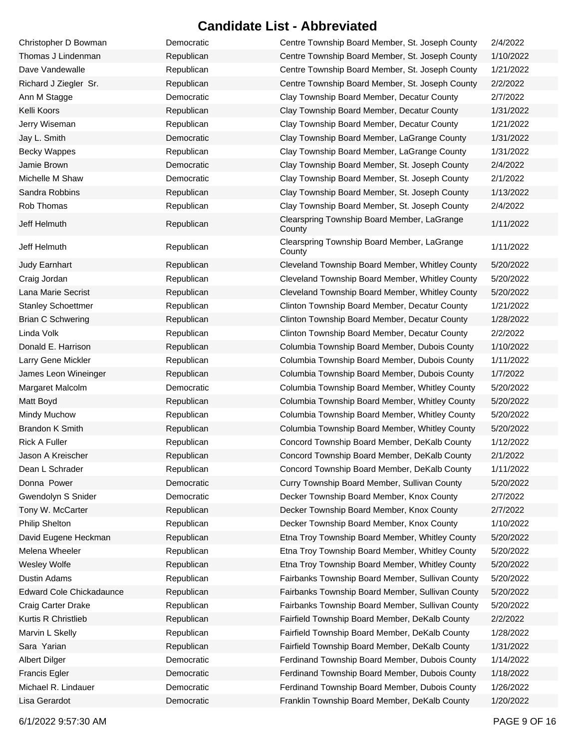| Christopher D Bowman      | Democratic | Centre Township Board Member, St. Joseph County       | 2/4/2022  |
|---------------------------|------------|-------------------------------------------------------|-----------|
| Thomas J Lindenman        | Republican | Centre Township Board Member, St. Joseph County       | 1/10/2022 |
| Dave Vandewalle           | Republican | Centre Township Board Member, St. Joseph County       | 1/21/2022 |
| Richard J Ziegler Sr.     | Republican | Centre Township Board Member, St. Joseph County       | 2/2/2022  |
| Ann M Stagge              | Democratic | Clay Township Board Member, Decatur County            | 2/7/2022  |
| Kelli Koors               | Republican | Clay Township Board Member, Decatur County            | 1/31/2022 |
| Jerry Wiseman             | Republican | Clay Township Board Member, Decatur County            | 1/21/2022 |
| Jay L. Smith              | Democratic | Clay Township Board Member, LaGrange County           | 1/31/2022 |
| <b>Becky Wappes</b>       | Republican | Clay Township Board Member, LaGrange County           | 1/31/2022 |
| Jamie Brown               | Democratic | Clay Township Board Member, St. Joseph County         | 2/4/2022  |
| Michelle M Shaw           | Democratic | Clay Township Board Member, St. Joseph County         | 2/1/2022  |
| Sandra Robbins            | Republican | Clay Township Board Member, St. Joseph County         | 1/13/2022 |
| Rob Thomas                | Republican | Clay Township Board Member, St. Joseph County         | 2/4/2022  |
| Jeff Helmuth              | Republican | Clearspring Township Board Member, LaGrange<br>County | 1/11/2022 |
| Jeff Helmuth              | Republican | Clearspring Township Board Member, LaGrange<br>County | 1/11/2022 |
| Judy Earnhart             | Republican | Cleveland Township Board Member, Whitley County       | 5/20/2022 |
| Craig Jordan              | Republican | Cleveland Township Board Member, Whitley County       | 5/20/2022 |
| Lana Marie Secrist        | Republican | Cleveland Township Board Member, Whitley County       | 5/20/2022 |
| <b>Stanley Schoettmer</b> | Republican | Clinton Township Board Member, Decatur County         | 1/21/2022 |
| <b>Brian C Schwering</b>  | Republican | Clinton Township Board Member, Decatur County         | 1/28/2022 |
| Linda Volk                | Republican | Clinton Township Board Member, Decatur County         | 2/2/2022  |
| Donald E. Harrison        | Republican | Columbia Township Board Member, Dubois County         | 1/10/2022 |
| Larry Gene Mickler        | Republican | Columbia Township Board Member, Dubois County         | 1/11/2022 |
| James Leon Wineinger      | Republican | Columbia Township Board Member, Dubois County         | 1/7/2022  |
| Margaret Malcolm          | Democratic | Columbia Township Board Member, Whitley County        | 5/20/2022 |
| Matt Boyd                 | Republican | Columbia Township Board Member, Whitley County        | 5/20/2022 |
| Mindy Muchow              | Republican | Columbia Township Board Member, Whitley County        | 5/20/2022 |
| <b>Brandon K Smith</b>    | Republican | Columbia Township Board Member, Whitley County        | 5/20/2022 |
| <b>Rick A Fuller</b>      | Republican | Concord Township Board Member, DeKalb County          | 1/12/2022 |
| Jason A Kreischer         | Republican | Concord Township Board Member, DeKalb County          | 2/1/2022  |
| Dean L Schrader           | Republican | Concord Township Board Member, DeKalb County          | 1/11/2022 |
| Donna Power               | Democratic | Curry Township Board Member, Sullivan County          | 5/20/2022 |
| Gwendolyn S Snider        | Democratic | Decker Township Board Member, Knox County             | 2/7/2022  |
| Tony W. McCarter          | Republican | Decker Township Board Member, Knox County             | 2/7/2022  |
| <b>Philip Shelton</b>     | Republican | Decker Township Board Member, Knox County             | 1/10/2022 |
| David Eugene Heckman      | Republican | Etna Troy Township Board Member, Whitley County       | 5/20/2022 |
| Melena Wheeler            | Republican | Etna Troy Township Board Member, Whitley County       | 5/20/2022 |
| Wesley Wolfe              | Republican | Etna Troy Township Board Member, Whitley County       | 5/20/2022 |
| <b>Dustin Adams</b>       | Republican | Fairbanks Township Board Member, Sullivan County      | 5/20/2022 |
| Edward Cole Chickadaunce  | Republican | Fairbanks Township Board Member, Sullivan County      | 5/20/2022 |
| Craig Carter Drake        | Republican | Fairbanks Township Board Member, Sullivan County      | 5/20/2022 |
| Kurtis R Christlieb       | Republican | Fairfield Township Board Member, DeKalb County        | 2/2/2022  |
| Marvin L Skelly           | Republican | Fairfield Township Board Member, DeKalb County        | 1/28/2022 |
| Sara Yarian               | Republican | Fairfield Township Board Member, DeKalb County        | 1/31/2022 |
| Albert Dilger             | Democratic | Ferdinand Township Board Member, Dubois County        | 1/14/2022 |
| <b>Francis Egler</b>      | Democratic | Ferdinand Township Board Member, Dubois County        | 1/18/2022 |
| Michael R. Lindauer       | Democratic | Ferdinand Township Board Member, Dubois County        | 1/26/2022 |
| Lisa Gerardot             | Democratic | Franklin Township Board Member, DeKalb County         | 1/20/2022 |
|                           |            |                                                       |           |

6/1/2022 9:57:30 AM PAGE 9 OF 16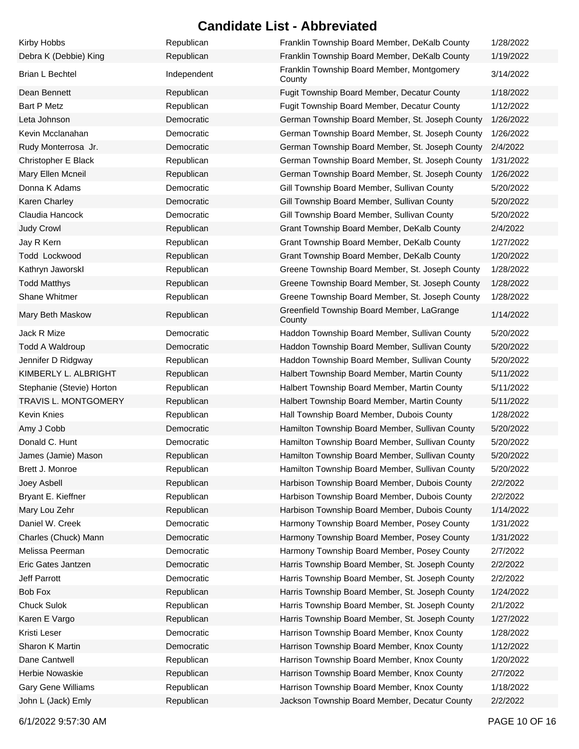| Kirby Hobbs               | Republican  | Franklin Township Board Member, DeKalb County        | 1/28/2022 |
|---------------------------|-------------|------------------------------------------------------|-----------|
| Debra K (Debbie) King     | Republican  | Franklin Township Board Member, DeKalb County        | 1/19/2022 |
| Brian L Bechtel           | Independent | Franklin Township Board Member, Montgomery<br>County | 3/14/2022 |
| Dean Bennett              | Republican  | Fugit Township Board Member, Decatur County          | 1/18/2022 |
| <b>Bart P Metz</b>        | Republican  | Fugit Township Board Member, Decatur County          | 1/12/2022 |
| Leta Johnson              | Democratic  | German Township Board Member, St. Joseph County      | 1/26/2022 |
| Kevin Mcclanahan          | Democratic  | German Township Board Member, St. Joseph County      | 1/26/2022 |
| Rudy Monterrosa Jr.       | Democratic  | German Township Board Member, St. Joseph County      | 2/4/2022  |
| Christopher E Black       | Republican  | German Township Board Member, St. Joseph County      | 1/31/2022 |
| Mary Ellen Mcneil         | Republican  | German Township Board Member, St. Joseph County      | 1/26/2022 |
| Donna K Adams             | Democratic  | Gill Township Board Member, Sullivan County          | 5/20/2022 |
| Karen Charley             | Democratic  | Gill Township Board Member, Sullivan County          | 5/20/2022 |
| Claudia Hancock           | Democratic  | Gill Township Board Member, Sullivan County          | 5/20/2022 |
| Judy Crowl                | Republican  | Grant Township Board Member, DeKalb County           | 2/4/2022  |
| Jay R Kern                | Republican  | Grant Township Board Member, DeKalb County           | 1/27/2022 |
| Todd Lockwood             | Republican  | Grant Township Board Member, DeKalb County           | 1/20/2022 |
| Kathryn Jaworskl          | Republican  | Greene Township Board Member, St. Joseph County      | 1/28/2022 |
| <b>Todd Matthys</b>       | Republican  | Greene Township Board Member, St. Joseph County      | 1/28/2022 |
| <b>Shane Whitmer</b>      | Republican  | Greene Township Board Member, St. Joseph County      | 1/28/2022 |
| Mary Beth Maskow          | Republican  | Greenfield Township Board Member, LaGrange<br>County | 1/14/2022 |
| Jack R Mize               | Democratic  | Haddon Township Board Member, Sullivan County        | 5/20/2022 |
| <b>Todd A Waldroup</b>    | Democratic  | Haddon Township Board Member, Sullivan County        | 5/20/2022 |
| Jennifer D Ridgway        | Republican  | Haddon Township Board Member, Sullivan County        | 5/20/2022 |
| KIMBERLY L. ALBRIGHT      | Republican  | Halbert Township Board Member, Martin County         | 5/11/2022 |
| Stephanie (Stevie) Horton | Republican  | Halbert Township Board Member, Martin County         | 5/11/2022 |
| TRAVIS L. MONTGOMERY      | Republican  | Halbert Township Board Member, Martin County         | 5/11/2022 |
| <b>Kevin Knies</b>        | Republican  | Hall Township Board Member, Dubois County            | 1/28/2022 |
| Amy J Cobb                | Democratic  | Hamilton Township Board Member, Sullivan County      | 5/20/2022 |
| Donald C. Hunt            | Democratic  | Hamilton Township Board Member, Sullivan County      | 5/20/2022 |
| James (Jamie) Mason       | Republican  | Hamilton Township Board Member, Sullivan County      | 5/20/2022 |
| Brett J. Monroe           | Republican  | Hamilton Township Board Member, Sullivan County      | 5/20/2022 |
| Joey Asbell               | Republican  | Harbison Township Board Member, Dubois County        | 2/2/2022  |
| Bryant E. Kieffner        | Republican  | Harbison Township Board Member, Dubois County        | 2/2/2022  |
| Mary Lou Zehr             | Republican  | Harbison Township Board Member, Dubois County        | 1/14/2022 |
| Daniel W. Creek           | Democratic  | Harmony Township Board Member, Posey County          | 1/31/2022 |
| Charles (Chuck) Mann      | Democratic  | Harmony Township Board Member, Posey County          | 1/31/2022 |
| Melissa Peerman           | Democratic  | Harmony Township Board Member, Posey County          | 2/7/2022  |
| Eric Gates Jantzen        | Democratic  | Harris Township Board Member, St. Joseph County      | 2/2/2022  |
| Jeff Parrott              | Democratic  | Harris Township Board Member, St. Joseph County      | 2/2/2022  |
| Bob Fox                   | Republican  | Harris Township Board Member, St. Joseph County      | 1/24/2022 |
| <b>Chuck Sulok</b>        | Republican  | Harris Township Board Member, St. Joseph County      | 2/1/2022  |
| Karen E Vargo             | Republican  | Harris Township Board Member, St. Joseph County      | 1/27/2022 |
| Kristi Leser              | Democratic  | Harrison Township Board Member, Knox County          | 1/28/2022 |
| Sharon K Martin           | Democratic  | Harrison Township Board Member, Knox County          | 1/12/2022 |
| Dane Cantwell             | Republican  | Harrison Township Board Member, Knox County          | 1/20/2022 |
| Herbie Nowaskie           | Republican  | Harrison Township Board Member, Knox County          | 2/7/2022  |
| Gary Gene Williams        | Republican  | Harrison Township Board Member, Knox County          | 1/18/2022 |
| John L (Jack) Emly        | Republican  | Jackson Township Board Member, Decatur County        | 2/2/2022  |

6/1/2022 9:57:30 AM PAGE 10 OF 16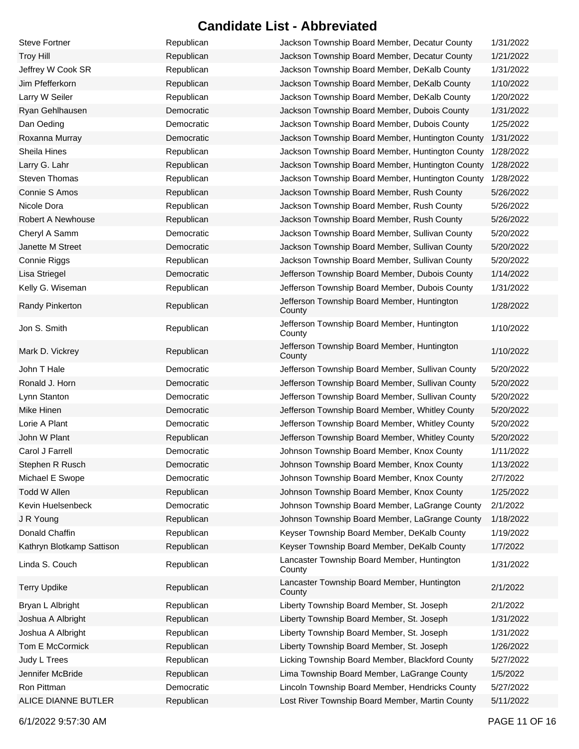| <b>Steve Fortner</b>      | Republican | Jackson Township Board Member, Decatur County         | 1/31/2022 |
|---------------------------|------------|-------------------------------------------------------|-----------|
| <b>Troy Hill</b>          | Republican | Jackson Township Board Member, Decatur County         | 1/21/2022 |
| Jeffrey W Cook SR         | Republican | Jackson Township Board Member, DeKalb County          | 1/31/2022 |
| Jim Pfefferkorn           | Republican | Jackson Township Board Member, DeKalb County          | 1/10/2022 |
| Larry W Seiler            | Republican | Jackson Township Board Member, DeKalb County          | 1/20/2022 |
| Ryan Gehlhausen           | Democratic | Jackson Township Board Member, Dubois County          | 1/31/2022 |
| Dan Oeding                | Democratic | Jackson Township Board Member, Dubois County          | 1/25/2022 |
| Roxanna Murray            | Democratic | Jackson Township Board Member, Huntington County      | 1/31/2022 |
| Sheila Hines              | Republican | Jackson Township Board Member, Huntington County      | 1/28/2022 |
| Larry G. Lahr             | Republican | Jackson Township Board Member, Huntington County      | 1/28/2022 |
| <b>Steven Thomas</b>      | Republican | Jackson Township Board Member, Huntington County      | 1/28/2022 |
| Connie S Amos             | Republican | Jackson Township Board Member, Rush County            | 5/26/2022 |
| Nicole Dora               | Republican | Jackson Township Board Member, Rush County            | 5/26/2022 |
| Robert A Newhouse         | Republican | Jackson Township Board Member, Rush County            | 5/26/2022 |
| Cheryl A Samm             | Democratic | Jackson Township Board Member, Sullivan County        | 5/20/2022 |
| Janette M Street          | Democratic | Jackson Township Board Member, Sullivan County        | 5/20/2022 |
| Connie Riggs              | Republican | Jackson Township Board Member, Sullivan County        | 5/20/2022 |
| Lisa Striegel             | Democratic | Jefferson Township Board Member, Dubois County        | 1/14/2022 |
| Kelly G. Wiseman          | Republican | Jefferson Township Board Member, Dubois County        | 1/31/2022 |
| Randy Pinkerton           | Republican | Jefferson Township Board Member, Huntington<br>County | 1/28/2022 |
| Jon S. Smith              | Republican | Jefferson Township Board Member, Huntington<br>County | 1/10/2022 |
| Mark D. Vickrey           | Republican | Jefferson Township Board Member, Huntington<br>County | 1/10/2022 |
| John T Hale               | Democratic | Jefferson Township Board Member, Sullivan County      | 5/20/2022 |
| Ronald J. Horn            | Democratic | Jefferson Township Board Member, Sullivan County      | 5/20/2022 |
| Lynn Stanton              | Democratic | Jefferson Township Board Member, Sullivan County      | 5/20/2022 |
| Mike Hinen                | Democratic | Jefferson Township Board Member, Whitley County       | 5/20/2022 |
| Lorie A Plant             | Democratic | Jefferson Township Board Member, Whitley County       | 5/20/2022 |
| John W Plant              | Republican | Jefferson Township Board Member, Whitley County       | 5/20/2022 |
| Carol J Farrell           | Democratic | Johnson Township Board Member, Knox County            | 1/11/2022 |
| Stephen R Rusch           | Democratic | Johnson Township Board Member, Knox County            | 1/13/2022 |
| Michael E Swope           | Democratic | Johnson Township Board Member, Knox County            | 2/7/2022  |
| Todd W Allen              | Republican | Johnson Township Board Member, Knox County            | 1/25/2022 |
| Kevin Huelsenbeck         | Democratic | Johnson Township Board Member, LaGrange County        | 2/1/2022  |
| J R Young                 | Republican | Johnson Township Board Member, LaGrange County        | 1/18/2022 |
| Donald Chaffin            | Republican | Keyser Township Board Member, DeKalb County           | 1/19/2022 |
| Kathryn Blotkamp Sattison | Republican | Keyser Township Board Member, DeKalb County           | 1/7/2022  |
| Linda S. Couch            | Republican | Lancaster Township Board Member, Huntington<br>County | 1/31/2022 |
| <b>Terry Updike</b>       | Republican | Lancaster Township Board Member, Huntington<br>County | 2/1/2022  |
| Bryan L Albright          | Republican | Liberty Township Board Member, St. Joseph             | 2/1/2022  |
| Joshua A Albright         | Republican | Liberty Township Board Member, St. Joseph             | 1/31/2022 |
| Joshua A Albright         | Republican | Liberty Township Board Member, St. Joseph             | 1/31/2022 |
| Tom E McCormick           | Republican | Liberty Township Board Member, St. Joseph             | 1/26/2022 |
| Judy L Trees              | Republican | Licking Township Board Member, Blackford County       | 5/27/2022 |
| Jennifer McBride          | Republican | Lima Township Board Member, LaGrange County           | 1/5/2022  |
| Ron Pittman               | Democratic | Lincoln Township Board Member, Hendricks County       | 5/27/2022 |
| ALICE DIANNE BUTLER       | Republican | Lost River Township Board Member, Martin County       | 5/11/2022 |

6/1/2022 9:57:30 AM PAGE 11 OF 16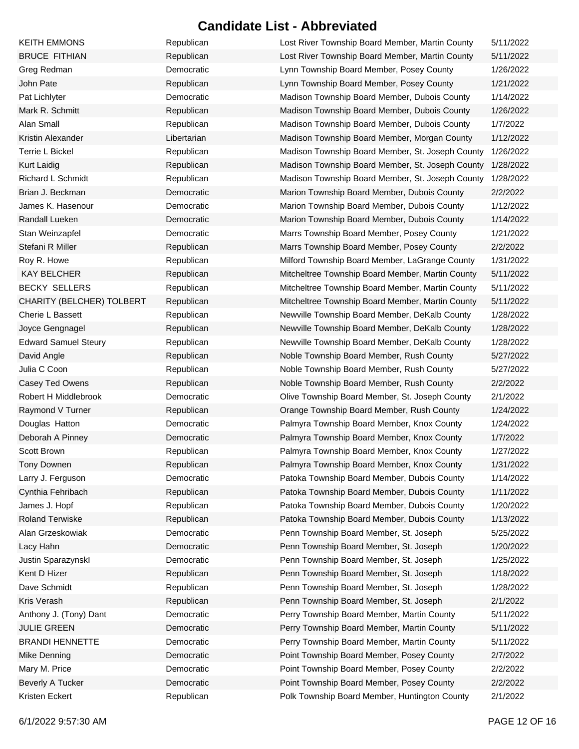| <b>KEITH EMMONS</b>         | Republican  | Lost River Township Board Member, Martin County  | 5/11/2022 |
|-----------------------------|-------------|--------------------------------------------------|-----------|
| <b>BRUCE FITHIAN</b>        | Republican  | Lost River Township Board Member, Martin County  | 5/11/2022 |
| Greg Redman                 | Democratic  | Lynn Township Board Member, Posey County         | 1/26/2022 |
| John Pate                   | Republican  | Lynn Township Board Member, Posey County         | 1/21/2022 |
| Pat Lichlyter               | Democratic  | Madison Township Board Member, Dubois County     | 1/14/2022 |
| Mark R. Schmitt             | Republican  | Madison Township Board Member, Dubois County     | 1/26/2022 |
| Alan Small                  | Republican  | Madison Township Board Member, Dubois County     | 1/7/2022  |
| Kristin Alexander           | Libertarian | Madison Township Board Member, Morgan County     | 1/12/2022 |
| Terrie L Bickel             | Republican  | Madison Township Board Member, St. Joseph County | 1/26/2022 |
| <b>Kurt Laidig</b>          | Republican  | Madison Township Board Member, St. Joseph County | 1/28/2022 |
| Richard L Schmidt           | Republican  | Madison Township Board Member, St. Joseph County | 1/28/2022 |
| Brian J. Beckman            | Democratic  | Marion Township Board Member, Dubois County      | 2/2/2022  |
| James K. Hasenour           | Democratic  | Marion Township Board Member, Dubois County      | 1/12/2022 |
| Randall Lueken              | Democratic  | Marion Township Board Member, Dubois County      | 1/14/2022 |
| Stan Weinzapfel             | Democratic  | Marrs Township Board Member, Posey County        | 1/21/2022 |
| Stefani R Miller            | Republican  | Marrs Township Board Member, Posey County        | 2/2/2022  |
| Roy R. Howe                 | Republican  | Milford Township Board Member, LaGrange County   | 1/31/2022 |
| <b>KAY BELCHER</b>          | Republican  | Mitcheltree Township Board Member, Martin County | 5/11/2022 |
| <b>BECKY SELLERS</b>        | Republican  | Mitcheltree Township Board Member, Martin County | 5/11/2022 |
| CHARITY (BELCHER) TOLBERT   | Republican  | Mitcheltree Township Board Member, Martin County | 5/11/2022 |
| Cherie L Bassett            | Republican  | Newville Township Board Member, DeKalb County    | 1/28/2022 |
| Joyce Gengnagel             | Republican  | Newville Township Board Member, DeKalb County    | 1/28/2022 |
| <b>Edward Samuel Steury</b> | Republican  | Newville Township Board Member, DeKalb County    | 1/28/2022 |
| David Angle                 | Republican  | Noble Township Board Member, Rush County         | 5/27/2022 |
| Julia C Coon                | Republican  | Noble Township Board Member, Rush County         | 5/27/2022 |
| Casey Ted Owens             | Republican  | Noble Township Board Member, Rush County         | 2/2/2022  |
| Robert H Middlebrook        | Democratic  | Olive Township Board Member, St. Joseph County   | 2/1/2022  |
| Raymond V Turner            | Republican  | Orange Township Board Member, Rush County        | 1/24/2022 |
| Douglas Hatton              | Democratic  | Palmyra Township Board Member, Knox County       | 1/24/2022 |
| Deborah A Pinney            | Democratic  | Palmyra Township Board Member, Knox County       | 1/7/2022  |
| Scott Brown                 | Republican  | Palmyra Township Board Member, Knox County       | 1/27/2022 |
| Tony Downen                 | Republican  | Palmyra Township Board Member, Knox County       | 1/31/2022 |
| Larry J. Ferguson           | Democratic  | Patoka Township Board Member, Dubois County      | 1/14/2022 |
| Cynthia Fehribach           | Republican  | Patoka Township Board Member, Dubois County      | 1/11/2022 |
| James J. Hopf               | Republican  | Patoka Township Board Member, Dubois County      | 1/20/2022 |
| <b>Roland Terwiske</b>      | Republican  | Patoka Township Board Member, Dubois County      | 1/13/2022 |
| Alan Grzeskowiak            | Democratic  | Penn Township Board Member, St. Joseph           | 5/25/2022 |
| Lacy Hahn                   | Democratic  | Penn Township Board Member, St. Joseph           | 1/20/2022 |
| Justin Sparazynskl          | Democratic  | Penn Township Board Member, St. Joseph           | 1/25/2022 |
| Kent D Hizer                | Republican  | Penn Township Board Member, St. Joseph           | 1/18/2022 |
| Dave Schmidt                | Republican  | Penn Township Board Member, St. Joseph           | 1/28/2022 |
| Kris Verash                 | Republican  | Penn Township Board Member, St. Joseph           | 2/1/2022  |
| Anthony J. (Tony) Dant      | Democratic  | Perry Township Board Member, Martin County       | 5/11/2022 |
| <b>JULIE GREEN</b>          | Democratic  | Perry Township Board Member, Martin County       | 5/11/2022 |
| <b>BRANDI HENNETTE</b>      | Democratic  | Perry Township Board Member, Martin County       | 5/11/2022 |
| Mike Denning                | Democratic  | Point Township Board Member, Posey County        | 2/7/2022  |
| Mary M. Price               | Democratic  | Point Township Board Member, Posey County        | 2/2/2022  |
| Beverly A Tucker            | Democratic  | Point Township Board Member, Posey County        | 2/2/2022  |
| Kristen Eckert              | Republican  | Polk Township Board Member, Huntington County    | 2/1/2022  |

6/1/2022 9:57:30 AM PAGE 12 OF 16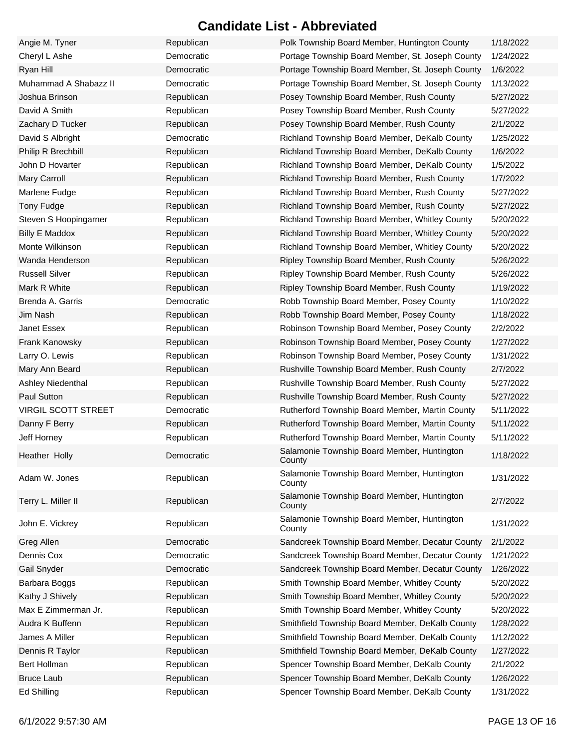| Angie M. Tyner             | Republican | Polk Township Board Member, Huntington County         | 1/18/2022 |
|----------------------------|------------|-------------------------------------------------------|-----------|
| Cheryl L Ashe              | Democratic | Portage Township Board Member, St. Joseph County      | 1/24/2022 |
| Ryan Hill                  | Democratic | Portage Township Board Member, St. Joseph County      | 1/6/2022  |
| Muhammad A Shabazz II      | Democratic | Portage Township Board Member, St. Joseph County      | 1/13/2022 |
| Joshua Brinson             | Republican | Posey Township Board Member, Rush County              | 5/27/2022 |
| David A Smith              | Republican | Posey Township Board Member, Rush County              | 5/27/2022 |
| Zachary D Tucker           | Republican | Posey Township Board Member, Rush County              | 2/1/2022  |
| David S Albright           | Democratic | Richland Township Board Member, DeKalb County         | 1/25/2022 |
| Philip R Brechbill         | Republican | Richland Township Board Member, DeKalb County         | 1/6/2022  |
| John D Hovarter            | Republican | Richland Township Board Member, DeKalb County         | 1/5/2022  |
| <b>Mary Carroll</b>        | Republican | Richland Township Board Member, Rush County           | 1/7/2022  |
| Marlene Fudge              | Republican | Richland Township Board Member, Rush County           | 5/27/2022 |
| Tony Fudge                 | Republican | Richland Township Board Member, Rush County           | 5/27/2022 |
| Steven S Hoopingarner      | Republican | Richland Township Board Member, Whitley County        | 5/20/2022 |
| <b>Billy E Maddox</b>      | Republican | Richland Township Board Member, Whitley County        | 5/20/2022 |
| Monte Wilkinson            | Republican | Richland Township Board Member, Whitley County        | 5/20/2022 |
| Wanda Henderson            | Republican | Ripley Township Board Member, Rush County             | 5/26/2022 |
| <b>Russell Silver</b>      | Republican | Ripley Township Board Member, Rush County             | 5/26/2022 |
| Mark R White               | Republican | Ripley Township Board Member, Rush County             | 1/19/2022 |
| Brenda A. Garris           | Democratic | Robb Township Board Member, Posey County              | 1/10/2022 |
| Jim Nash                   | Republican | Robb Township Board Member, Posey County              | 1/18/2022 |
| Janet Essex                | Republican | Robinson Township Board Member, Posey County          | 2/2/2022  |
| Frank Kanowsky             | Republican | Robinson Township Board Member, Posey County          | 1/27/2022 |
| Larry O. Lewis             | Republican | Robinson Township Board Member, Posey County          | 1/31/2022 |
| Mary Ann Beard             | Republican | Rushville Township Board Member, Rush County          | 2/7/2022  |
| Ashley Niedenthal          | Republican | Rushville Township Board Member, Rush County          | 5/27/2022 |
| Paul Sutton                | Republican | Rushville Township Board Member, Rush County          | 5/27/2022 |
| <b>VIRGIL SCOTT STREET</b> | Democratic | Rutherford Township Board Member, Martin County       | 5/11/2022 |
| Danny F Berry              | Republican | Rutherford Township Board Member, Martin County       | 5/11/2022 |
| Jeff Horney                | Republican | Rutherford Township Board Member, Martin County       | 5/11/2022 |
| Heather Holly              | Democratic | Salamonie Township Board Member, Huntington<br>County | 1/18/2022 |
| Adam W. Jones              | Republican | Salamonie Township Board Member, Huntington<br>County | 1/31/2022 |
| Terry L. Miller II         | Republican | Salamonie Township Board Member, Huntington<br>County | 2/7/2022  |
| John E. Vickrey            | Republican | Salamonie Township Board Member, Huntington<br>County | 1/31/2022 |
| Greg Allen                 | Democratic | Sandcreek Township Board Member, Decatur County       | 2/1/2022  |
| Dennis Cox                 | Democratic | Sandcreek Township Board Member, Decatur County       | 1/21/2022 |
| Gail Snyder                | Democratic | Sandcreek Township Board Member, Decatur County       | 1/26/2022 |
| Barbara Boggs              | Republican | Smith Township Board Member, Whitley County           | 5/20/2022 |
| Kathy J Shively            | Republican | Smith Township Board Member, Whitley County           | 5/20/2022 |
| Max E Zimmerman Jr.        | Republican | Smith Township Board Member, Whitley County           | 5/20/2022 |
| Audra K Buffenn            | Republican | Smithfield Township Board Member, DeKalb County       | 1/28/2022 |
| James A Miller             | Republican | Smithfield Township Board Member, DeKalb County       | 1/12/2022 |
| Dennis R Taylor            | Republican | Smithfield Township Board Member, DeKalb County       | 1/27/2022 |
| Bert Hollman               | Republican | Spencer Township Board Member, DeKalb County          | 2/1/2022  |
| <b>Bruce Laub</b>          | Republican | Spencer Township Board Member, DeKalb County          | 1/26/2022 |
| Ed Shilling                | Republican | Spencer Township Board Member, DeKalb County          | 1/31/2022 |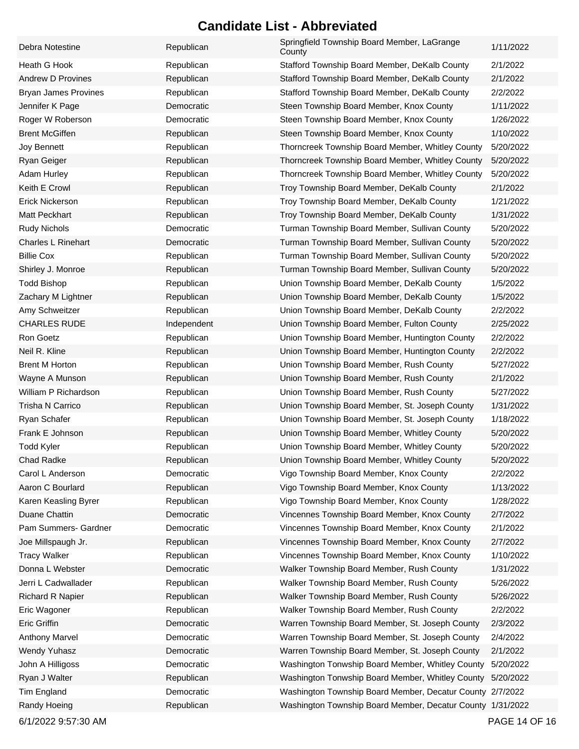| Debra Notestine             | Republican  | Springfield Township Board Member, LaGrange<br>County      | 1/11/2022 |
|-----------------------------|-------------|------------------------------------------------------------|-----------|
| Heath G Hook                | Republican  | Stafford Township Board Member, DeKalb County              | 2/1/2022  |
| Andrew D Provines           | Republican  | Stafford Township Board Member, DeKalb County              | 2/1/2022  |
| <b>Bryan James Provines</b> | Republican  | Stafford Township Board Member, DeKalb County              | 2/2/2022  |
| Jennifer K Page             | Democratic  | Steen Township Board Member, Knox County                   | 1/11/2022 |
| Roger W Roberson            | Democratic  | Steen Township Board Member, Knox County                   | 1/26/2022 |
| <b>Brent McGiffen</b>       | Republican  | Steen Township Board Member, Knox County                   | 1/10/2022 |
| Joy Bennett                 | Republican  | Thorncreek Township Board Member, Whitley County           | 5/20/2022 |
| Ryan Geiger                 | Republican  | Thorncreek Township Board Member, Whitley County           | 5/20/2022 |
| <b>Adam Hurley</b>          | Republican  | Thorncreek Township Board Member, Whitley County           | 5/20/2022 |
| Keith E Crowl               | Republican  | Troy Township Board Member, DeKalb County                  | 2/1/2022  |
| <b>Erick Nickerson</b>      | Republican  | Troy Township Board Member, DeKalb County                  | 1/21/2022 |
| Matt Peckhart               | Republican  | Troy Township Board Member, DeKalb County                  | 1/31/2022 |
| <b>Rudy Nichols</b>         | Democratic  | Turman Township Board Member, Sullivan County              | 5/20/2022 |
| <b>Charles L Rinehart</b>   | Democratic  | Turman Township Board Member, Sullivan County              | 5/20/2022 |
| <b>Billie Cox</b>           | Republican  | Turman Township Board Member, Sullivan County              | 5/20/2022 |
| Shirley J. Monroe           | Republican  | Turman Township Board Member, Sullivan County              | 5/20/2022 |
| <b>Todd Bishop</b>          | Republican  | Union Township Board Member, DeKalb County                 | 1/5/2022  |
| Zachary M Lightner          | Republican  | Union Township Board Member, DeKalb County                 | 1/5/2022  |
| Amy Schweitzer              | Republican  | Union Township Board Member, DeKalb County                 | 2/2/2022  |
| <b>CHARLES RUDE</b>         | Independent | Union Township Board Member, Fulton County                 | 2/25/2022 |
| Ron Goetz                   | Republican  | Union Township Board Member, Huntington County             | 2/2/2022  |
| Neil R. Kline               | Republican  | Union Township Board Member, Huntington County             | 2/2/2022  |
| <b>Brent M Horton</b>       | Republican  | Union Township Board Member, Rush County                   | 5/27/2022 |
| Wayne A Munson              | Republican  | Union Township Board Member, Rush County                   | 2/1/2022  |
| William P Richardson        | Republican  | Union Township Board Member, Rush County                   | 5/27/2022 |
| Trisha N Carrico            | Republican  | Union Township Board Member, St. Joseph County             | 1/31/2022 |
| Ryan Schafer                | Republican  | Union Township Board Member, St. Joseph County             | 1/18/2022 |
| Frank E Johnson             | Republican  | Union Township Board Member, Whitley County                | 5/20/2022 |
| <b>Todd Kyler</b>           | Republican  | Union Township Board Member, Whitley County                | 5/20/2022 |
| Chad Radke                  | Republican  | Union Township Board Member, Whitley County                | 5/20/2022 |
| Carol L Anderson            | Democratic  | Vigo Township Board Member, Knox County                    | 2/2/2022  |
| Aaron C Bourlard            | Republican  | Vigo Township Board Member, Knox County                    | 1/13/2022 |
| Karen Keasling Byrer        | Republican  | Vigo Township Board Member, Knox County                    | 1/28/2022 |
| Duane Chattin               | Democratic  | Vincennes Township Board Member, Knox County               | 2/7/2022  |
| Pam Summers- Gardner        | Democratic  | Vincennes Township Board Member, Knox County               | 2/1/2022  |
| Joe Millspaugh Jr.          | Republican  | Vincennes Township Board Member, Knox County               | 2/7/2022  |
| <b>Tracy Walker</b>         | Republican  | Vincennes Township Board Member, Knox County               | 1/10/2022 |
| Donna L Webster             | Democratic  | Walker Township Board Member, Rush County                  | 1/31/2022 |
| Jerri L Cadwallader         | Republican  | Walker Township Board Member, Rush County                  | 5/26/2022 |
| <b>Richard R Napier</b>     | Republican  | Walker Township Board Member, Rush County                  | 5/26/2022 |
| Eric Wagoner                | Republican  | Walker Township Board Member, Rush County                  | 2/2/2022  |
| Eric Griffin                | Democratic  | Warren Township Board Member, St. Joseph County            | 2/3/2022  |
| <b>Anthony Marvel</b>       | Democratic  | Warren Township Board Member, St. Joseph County            | 2/4/2022  |
| <b>Wendy Yuhasz</b>         | Democratic  | Warren Township Board Member, St. Joseph County            | 2/1/2022  |
| John A Hilligoss            | Democratic  | Washington Tonwship Board Member, Whitley County           | 5/20/2022 |
| Ryan J Walter               | Republican  | Washington Tonwship Board Member, Whitley County           | 5/20/2022 |
| Tim England                 | Democratic  | Washington Township Board Member, Decatur County 2/7/2022  |           |
| Randy Hoeing                | Republican  | Washington Township Board Member, Decatur County 1/31/2022 |           |
|                             |             |                                                            |           |

6/1/2022 9:57:30 AM PAGE 14 OF 16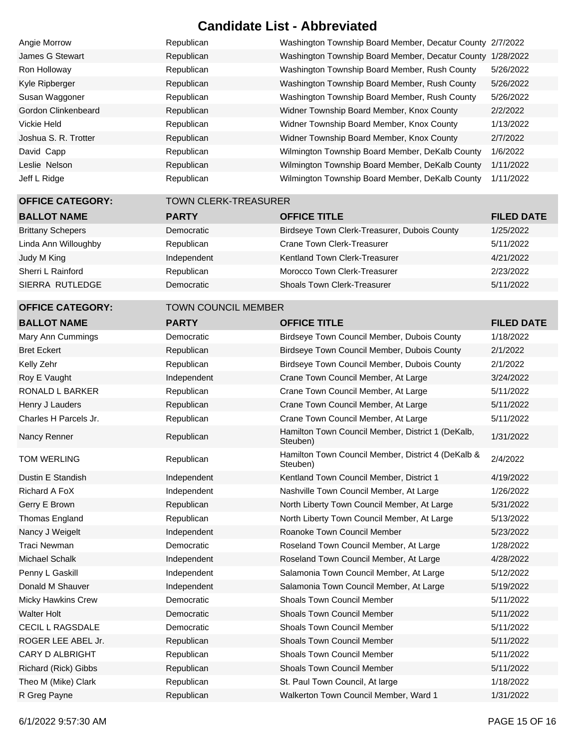| Angie Morrow         | Republican | Washington Township Board Member, Decatur County 2/7/2022 |           |
|----------------------|------------|-----------------------------------------------------------|-----------|
| James G Stewart      | Republican | Washington Township Board Member, Decatur County          | 1/28/2022 |
| Ron Holloway         | Republican | Washington Township Board Member, Rush County             | 5/26/2022 |
| Kyle Ripberger       | Republican | Washington Township Board Member, Rush County             | 5/26/2022 |
| Susan Waggoner       | Republican | Washington Township Board Member, Rush County             | 5/26/2022 |
| Gordon Clinkenbeard  | Republican | Widner Township Board Member, Knox County                 | 2/2/2022  |
| Vickie Held          | Republican | Widner Township Board Member, Knox County                 | 1/13/2022 |
| Joshua S. R. Trotter | Republican | Widner Township Board Member, Knox County                 | 2/7/2022  |
| David Capp           | Republican | Wilmington Township Board Member, DeKalb County           | 1/6/2022  |
| Leslie Nelson        | Republican | Wilmington Township Board Member, DeKalb County           | 1/11/2022 |
| Jeff L Ridge         | Republican | Wilmington Township Board Member, DeKalb County           | 1/11/2022 |
|                      |            |                                                           |           |

#### **OFFICE CATEGORY:** TOWN CLERK-TREASURER

| <b>BALLOT NAME</b>       | <b>PARTY</b> | <b>OFFICE TITLE</b>                          | <b>FILED DATE</b> |
|--------------------------|--------------|----------------------------------------------|-------------------|
|                          |              |                                              |                   |
| <b>Brittany Schepers</b> | Democratic   | Birdseye Town Clerk-Treasurer, Dubois County | 1/25/2022         |
| Linda Ann Willoughby     | Republican   | Crane Town Clerk-Treasurer                   | 5/11/2022         |
| Judy M King              | Independent  | <b>Kentland Town Clerk-Treasurer</b>         | 4/21/2022         |
| Sherri L Rainford        | Republican   | Morocco Town Clerk-Treasurer                 | 2/23/2022         |
| SIERRA RUTLEDGE          | Democratic   | <b>Shoals Town Clerk-Treasurer</b>           | 5/11/2022         |
|                          |              |                                              |                   |

#### **OFFICE CATEGORY:** TOWN COUNCIL MEMBER

| <b>BALLOT NAME</b>        | <b>PARTY</b> | <b>OFFICE TITLE</b>                                            | <b>FILED DATE</b> |
|---------------------------|--------------|----------------------------------------------------------------|-------------------|
| Mary Ann Cummings         | Democratic   | Birdseye Town Council Member, Dubois County                    | 1/18/2022         |
| <b>Bret Eckert</b>        | Republican   | Birdseye Town Council Member, Dubois County                    | 2/1/2022          |
| Kelly Zehr                | Republican   | Birdseye Town Council Member, Dubois County                    | 2/1/2022          |
| Roy E Vaught              | Independent  | Crane Town Council Member, At Large                            | 3/24/2022         |
| <b>RONALD L BARKER</b>    | Republican   | Crane Town Council Member, At Large                            | 5/11/2022         |
| Henry J Lauders           | Republican   | Crane Town Council Member, At Large                            | 5/11/2022         |
| Charles H Parcels Jr.     | Republican   | Crane Town Council Member, At Large                            | 5/11/2022         |
| Nancy Renner              | Republican   | Hamilton Town Council Member, District 1 (DeKalb,<br>Steuben)  | 1/31/2022         |
| <b>TOM WERLING</b>        | Republican   | Hamilton Town Council Member, District 4 (DeKalb &<br>Steuben) | 2/4/2022          |
| <b>Dustin E Standish</b>  | Independent  | Kentland Town Council Member, District 1                       | 4/19/2022         |
| Richard A FoX             | Independent  | Nashville Town Council Member, At Large                        | 1/26/2022         |
| Gerry E Brown             | Republican   | North Liberty Town Council Member, At Large                    | 5/31/2022         |
| Thomas England            | Republican   | North Liberty Town Council Member, At Large                    | 5/13/2022         |
| Nancy J Weigelt           | Independent  | Roanoke Town Council Member                                    | 5/23/2022         |
| Traci Newman              | Democratic   | Roseland Town Council Member, At Large                         | 1/28/2022         |
| <b>Michael Schalk</b>     | Independent  | Roseland Town Council Member, At Large                         | 4/28/2022         |
| Penny L Gaskill           | Independent  | Salamonia Town Council Member, At Large                        | 5/12/2022         |
| Donald M Shauver          | Independent  | Salamonia Town Council Member, At Large                        | 5/19/2022         |
| <b>Micky Hawkins Crew</b> | Democratic   | <b>Shoals Town Council Member</b>                              | 5/11/2022         |
| <b>Walter Holt</b>        | Democratic   | <b>Shoals Town Council Member</b>                              | 5/11/2022         |
| <b>CECIL L RAGSDALE</b>   | Democratic   | <b>Shoals Town Council Member</b>                              | 5/11/2022         |
| ROGER LEE ABEL Jr.        | Republican   | <b>Shoals Town Council Member</b>                              | 5/11/2022         |
| CARY D ALBRIGHT           | Republican   | <b>Shoals Town Council Member</b>                              | 5/11/2022         |
| Richard (Rick) Gibbs      | Republican   | <b>Shoals Town Council Member</b>                              | 5/11/2022         |
| Theo M (Mike) Clark       | Republican   | St. Paul Town Council, At large                                | 1/18/2022         |
| R Greg Payne              | Republican   | Walkerton Town Council Member, Ward 1                          | 1/31/2022         |